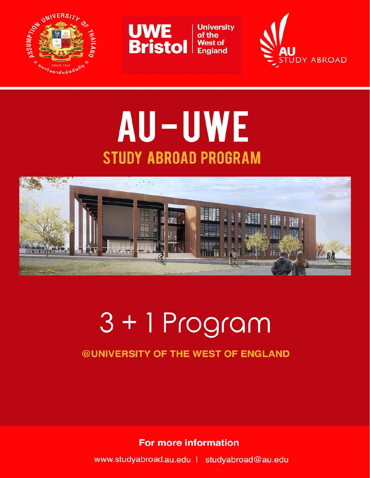



**University**<br>of the England



## AU-UWE **STUDY ABROAD PROGRAM**



# $3 + 1$  Program

## **@UNIVERSITY OF THE WEST OF ENGLAND**

**For more information** 

www.studyabroad.au.edu | studyabroad@au.edu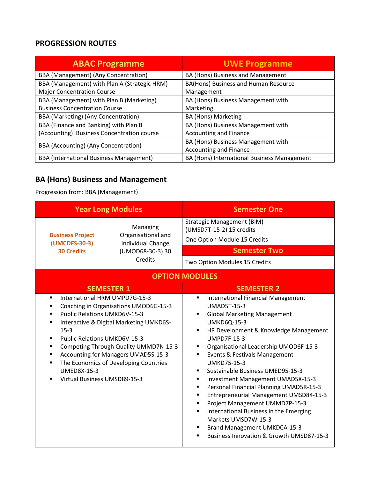#### **PROGRESSION ROUTES**

| <b>ABAC Programme</b>                          | <b>UWE Programme</b>                        |
|------------------------------------------------|---------------------------------------------|
| BBA (Management) (Any Concentration)           | BA (Hons) Business and Management           |
| BBA (Management) with Plan A (Strategic HRM)   | BA(Hons) Business and Human Resource        |
| <b>Major Concentration Course</b>              | Management                                  |
| BBA (Management) with Plan B (Marketing)       | BA (Hons) Business Management with          |
| <b>Business Concentration Course</b>           | Marketing                                   |
| BBA (Marketing) (Any Concentration)            | <b>BA (Hons) Marketing</b>                  |
| BBA (Finance and Banking) with Plan B          | BA (Hons) Business Management with          |
| (Accounting) Business Concentration course     | Accounting and Finance                      |
| BBA (Accounting) (Any Concentration)           | BA (Hons) Business Management with          |
|                                                | <b>Accounting and Finance</b>               |
| <b>BBA</b> (International Business Management) | BA (Hons) International Business Management |

## **BA (Hons) Business and Management**

#### Progression from: BBA (Management)

| <b>Year Long Modules</b>                                                                                                                                                                           |                                                                                                                                                                                                           | <b>Semester One</b>                                                                                                                                                                                                                                                                                                                                                                                                                                                                                                                                                                                                                                                                                 |
|----------------------------------------------------------------------------------------------------------------------------------------------------------------------------------------------------|-----------------------------------------------------------------------------------------------------------------------------------------------------------------------------------------------------------|-----------------------------------------------------------------------------------------------------------------------------------------------------------------------------------------------------------------------------------------------------------------------------------------------------------------------------------------------------------------------------------------------------------------------------------------------------------------------------------------------------------------------------------------------------------------------------------------------------------------------------------------------------------------------------------------------------|
|                                                                                                                                                                                                    | Managing                                                                                                                                                                                                  | <b>Strategic Management (BIM)</b><br>(UMSD7T-15-2) 15 credits                                                                                                                                                                                                                                                                                                                                                                                                                                                                                                                                                                                                                                       |
| <b>Business Project</b><br>(UMCDFS-30-3)                                                                                                                                                           | Organisational and<br>Individual Change                                                                                                                                                                   | One Option Module 15 Credits                                                                                                                                                                                                                                                                                                                                                                                                                                                                                                                                                                                                                                                                        |
| <b>30 Credits</b>                                                                                                                                                                                  | (UMOD68-30-3) 30                                                                                                                                                                                          | <b>Semester Two</b>                                                                                                                                                                                                                                                                                                                                                                                                                                                                                                                                                                                                                                                                                 |
|                                                                                                                                                                                                    | Credits                                                                                                                                                                                                   | Two Option Modules 15 Credits                                                                                                                                                                                                                                                                                                                                                                                                                                                                                                                                                                                                                                                                       |
|                                                                                                                                                                                                    |                                                                                                                                                                                                           | <b>OPTION MODULES</b>                                                                                                                                                                                                                                                                                                                                                                                                                                                                                                                                                                                                                                                                               |
| <b>SEMESTER 1</b>                                                                                                                                                                                  |                                                                                                                                                                                                           | <b>SEMESTER 2</b>                                                                                                                                                                                                                                                                                                                                                                                                                                                                                                                                                                                                                                                                                   |
| International HRM UMPD7G-15-3<br>$\blacksquare$<br><b>Public Relations UMKD6V-15-3</b><br>$15-3$<br><b>Public Relations UMKD6V-15-3</b><br>٠<br><b>UMED8X-15-3</b><br>Virtual Business UMSD89-15-3 | Coaching in Organisations UMOD6G-15-3<br>Interactive & Digital Marketing UMKD6S-<br>Competing Through Quality UMMD7N-15-3<br>Accounting for Managers UMAD5S-15-3<br>The Economics of Developing Countries | <b>International Financial Management</b><br>٠<br><b>UMAD5T-15-3</b><br><b>Global Marketing Management</b><br><b>UMKD6Q-15-3</b><br>HR Development & Knowledge Management<br>$\blacksquare$<br><b>UMPD7F-15-3</b><br>Organisational Leadership UMOD6F-15-3<br>٠<br>Events & Festivals Management<br><b>UMKD75-15-3</b><br>Sustainable Business UMED95-15-3<br>Investment Management UMAD5X-15-3<br>٠<br>Personal Financial Planning UMAD5R-15-3<br>٠<br>Entrepreneurial Management UMSD84-15-3<br>٠<br>Project Management UMMD7P-15-3<br>٠<br>International Business in the Emerging<br>٠<br>Markets UMSD7W-15-3<br><b>Brand Management UMKDCA-15-3</b><br>Business Innovation & Growth UMSD87-15-3 |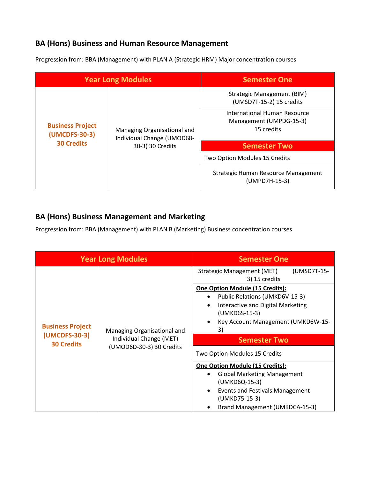#### **BA (Hons) Business and Human Resource Management**

Progression from: BBA (Management) with PLAN A (Strategic HRM) Major concentration courses

| <b>Year Long Modules</b>                                                                                                                       |                                                      | <b>Semester One</b>                                           |
|------------------------------------------------------------------------------------------------------------------------------------------------|------------------------------------------------------|---------------------------------------------------------------|
| <b>Business Project</b><br>Managing Organisational and<br>(UMCDFS-30-3)<br>Individual Change (UMOD68-<br><b>30 Credits</b><br>30-3) 30 Credits |                                                      | <b>Strategic Management (BIM)</b><br>(UMSD7T-15-2) 15 credits |
|                                                                                                                                                |                                                      | International Human Resource                                  |
|                                                                                                                                                |                                                      | Management (UMPDG-15-3)                                       |
|                                                                                                                                                |                                                      | 15 credits                                                    |
|                                                                                                                                                |                                                      |                                                               |
|                                                                                                                                                |                                                      | <b>Semester Two</b>                                           |
|                                                                                                                                                | Two Option Modules 15 Credits                        |                                                               |
|                                                                                                                                                | Strategic Human Resource Management<br>(UMPD7H-15-3) |                                                               |

#### **BA (Hons) Business Management and Marketing**

Progression from: BBA (Management) with PLAN B (Marketing) Business concentration courses

|                                                                                                                                                                                 |                                                                                                                                                                                                                                                                                                  | <b>Semester One</b>                                                                                                                                                                 |
|---------------------------------------------------------------------------------------------------------------------------------------------------------------------------------|--------------------------------------------------------------------------------------------------------------------------------------------------------------------------------------------------------------------------------------------------------------------------------------------------|-------------------------------------------------------------------------------------------------------------------------------------------------------------------------------------|
| <b>Year Long Modules</b><br><b>Business Project</b><br>Managing Organisational and<br>(UMCDFS-30-3)<br>Individual Change (MET)<br><b>30 Credits</b><br>(UMOD6D-30-3) 30 Credits | (UMSD7T-15-<br>Strategic Management (MET)<br>3) 15 credits<br><b>One Option Module (15 Credits):</b><br>Public Relations (UMKD6V-15-3)<br>Interactive and Digital Marketing<br>(UMKD6S-15-3)<br>Key Account Management (UMKD6W-15-<br>3)<br><b>Semester Two</b><br>Two Option Modules 15 Credits |                                                                                                                                                                                     |
|                                                                                                                                                                                 |                                                                                                                                                                                                                                                                                                  | One Option Module (15 Credits):<br><b>Global Marketing Management</b><br>(UMKD6Q-15-3)<br><b>Events and Festivals Management</b><br>(UMKD75-15-3)<br>Brand Management (UMKDCA-15-3) |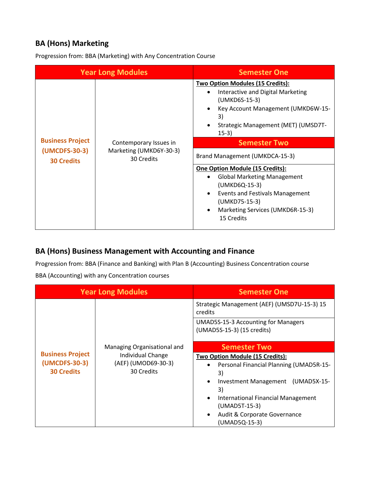#### **BA (Hons) Marketing**

Progression from: BBA (Marketing) with Any Concentration Course

|                                                               | <b>Year Long Modules</b>                                        | <b>Semester One</b>                                                                                                                                                                                                                                                                                                                                                                                                                                                      |
|---------------------------------------------------------------|-----------------------------------------------------------------|--------------------------------------------------------------------------------------------------------------------------------------------------------------------------------------------------------------------------------------------------------------------------------------------------------------------------------------------------------------------------------------------------------------------------------------------------------------------------|
| <b>Business Project</b><br>(UMCDFS-30-3)<br><b>30 Credits</b> | Contemporary Issues in<br>Marketing (UMKD6Y-30-3)<br>30 Credits | <b>Two Option Modules (15 Credits):</b><br>Interactive and Digital Marketing<br>(UMKD6S-15-3)<br>Key Account Management (UMKD6W-15-<br>3)<br>Strategic Management (MET) (UMSD7T-<br>$15-3)$<br><b>Semester Two</b><br>Brand Management (UMKDCA-15-3)<br>One Option Module (15 Credits):<br><b>Global Marketing Management</b><br>(UMKD6Q-15-3)<br><b>Events and Festivals Management</b><br>$\bullet$<br>(UMKD75-15-3)<br>Marketing Services (UMKD6R-15-3)<br>15 Credits |

#### **BA (Hons) Business Management with Accounting and Finance**

Progression from: BBA (Finance and Banking) with Plan B (Accounting) Business Concentration course

BBA (Accounting) with any Concentration courses

|                                                                                                                         | <b>Year Long Modules</b>                                                                                                                                                                    | <b>Semester One</b>                                                      |
|-------------------------------------------------------------------------------------------------------------------------|---------------------------------------------------------------------------------------------------------------------------------------------------------------------------------------------|--------------------------------------------------------------------------|
|                                                                                                                         |                                                                                                                                                                                             | Strategic Management (AEF) (UMSD7U-15-3) 15<br>credits                   |
|                                                                                                                         |                                                                                                                                                                                             | <b>UMAD5S-15-3 Accounting for Managers</b><br>(UMAD5S-15-3) (15 credits) |
|                                                                                                                         | Managing Organisational and                                                                                                                                                                 | <b>Semester Two</b>                                                      |
| <b>Business Project</b><br>Individual Change<br>(UMCDFS-30-3)<br>(AEF) (UMOD69-30-3)<br>30 Credits<br><b>30 Credits</b> | Two Option Module (15 Credits):<br>Personal Financial Planning (UMAD5R-15-<br>$\bullet$<br>3)<br>Investment Management (UMAD5X-15-<br>3)<br>International Financial Management<br>$\bullet$ |                                                                          |
|                                                                                                                         |                                                                                                                                                                                             | (UMAD5T-15-3)<br>Audit & Corporate Governance<br>(UMAD5Q-15-3)           |